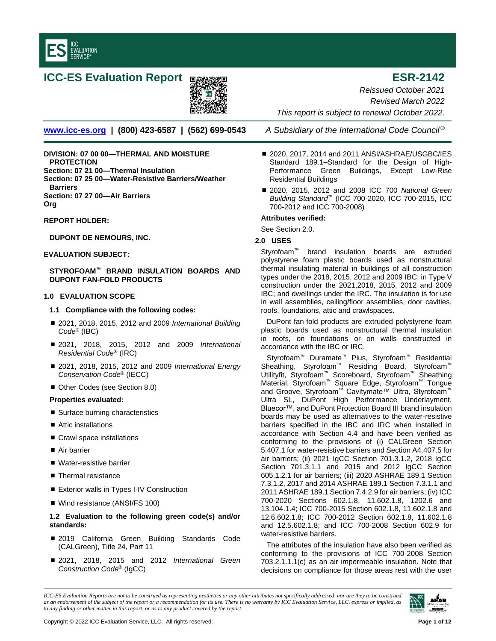

# **ICC-ES Evaluation Report EXIMAGE ESR-2142**



**[www.icc-es.org](http://www.icc-es.org/) | (800) 423-6587 | (562) 699-0543** *A Subsidiary of the International Code Council ®*

**DIVISION: 07 00 00—THERMAL AND MOISTURE PROTECTION Section: 07 21 00—Thermal Insulation Section: 07 25 00—Water-Resistive Barriers/Weather Barriers Section: 07 27 00—Air Barriers Org**

# **REPORT HOLDER:**

# **DUPONT DE NEMOURS, INC.**

# **EVALUATION SUBJECT:**

**STYROFOAM™ BRAND INSULATION BOARDS AND DUPONT FAN-FOLD PRODUCTS**

# **1.0 EVALUATION SCOPE**

## **1.1 Compliance with the following codes:**

- 2021, 2018, 2015, 2012 and 2009 *International Building Code*® (IBC)
- 2021, 2018, 2015, 2012 and 2009 *International Residential Code®* (IRC)
- 2021, 2018, 2015, 2012 and 2009 *International Energy Conservation Code*® (IECC)
- Other Codes (see Section 8.0)

## **Properties evaluated:**

- Surface burning characteristics
- Attic installations
- Crawl space installations
- Air barrier
- Water-resistive barrier
- Thermal resistance
- Exterior walls in Types I-IV Construction
- Wind resistance (ANSI/FS 100)

# **1.2 Evaluation to the following green code(s) and/or standards:**

- 2019 California Green Building Standards Code (CALGreen), Title 24, Part 11
- 2021, 2018, 2015 and 2012 *International Green Construction Code*® (IgCC)

*This report is subject to renewal October 2022.*

*Reissued October 2021 Revised March 2022*

- 2020, 2017, 2014 and 2011 ANSI/ASHRAE/USGBC/IES Standard 189.1–Standard for the Design of High-Performance Green Buildings, Except Low-Rise Residential Buildings
- 2020, 2015, 2012 and 2008 ICC 700 *National Green Building Standard*™ (ICC 700-2020, ICC 700-2015, ICC 700-2012 and ICC 700-2008)

# **Attributes verified:**

See Section 2.0.

# **2.0 USES**

Styrofoam™ brand insulation boards are extruded polystyrene foam plastic boards used as nonstructural thermal insulating material in buildings of all construction types under the 2018, 2015, 2012 and 2009 IBC; in Type V construction under the 2021,2018, 2015, 2012 and 2009 IBC; and dwellings under the IRC. The insulation is for use in wall assemblies, ceiling/floor assemblies, door cavities, roofs, foundations, attic and crawlspaces.

DuPont fan-fold products are extruded polystyrene foam plastic boards used as nonstructural thermal insulation in roofs, on foundations or on walls constructed in accordance with the IBC or IRC.

Styrofoam™ Duramate™ Plus, Styrofoam™ Residential Sheathing, Styrofoam™ Residing Board, Styrofoam™ Utilityfit, Styrofoam™ Scoreboard, Styrofoam™ Sheathing Material, Styrofoam™ Square Edge, Styrofoam™ Tongue and Groove, Styrofoam™ Cavitymate™ Ultra, Styrofoam™ Ultra SL, DuPont High Performance Underlayment, Bluecor™, and DuPont Protection Board III brand insulation boards may be used as alternatives to the water-resistive barriers specified in the IBC and IRC when installed in accordance with Section 4.4 and have been verified as conforming to the provisions of (i) CALGreen Section 5.407.1 for water-resistive barriers and Section A4.407.5 for air barriers; (ii) 2021 IgCC Section 701.3.1.2, 2018 IgCC Section 701.3.1.1 and 2015 and 2012 IgCC Section 605.1.2.1 for air barriers; (iii) 2020 ASHRAE 189.1 Section 7.3.1.2, 2017 and 2014 ASHRAE 189.1 Section 7.3.1.1 and 2011 ASHRAE 189.1 Section 7.4.2.9 for air barriers; (iv) ICC 700-2020 Sections 602.1.8, 11.602.1.8, 1202.6 and 13.104.1.4; ICC 700-2015 Section 602.1.8, 11.602.1.8 and 12.6.602.1.8; ICC 700-2012 Section 602.1.8, 11.602.1.8 and 12.5.602.1.8; and ICC 700-2008 Section 602.9 for water-resistive barriers.

The attributes of the insulation have also been verified as conforming to the provisions of ICC 700-2008 Section 703.2.1.1.1(c) as an air impermeable insulation. Note that decisions on compliance for those areas rest with the user

*ICC-ES Evaluation Reports are not to be construed as representing aesthetics or any other attributes not specifically addressed, nor are they to be construed as an endorsement of the subject of the report or a recommendation for its use. There is no warranty by ICC Evaluation Service, LLC, express or implied, as to any finding or other matter in this report, or as to any product covered by the report.*

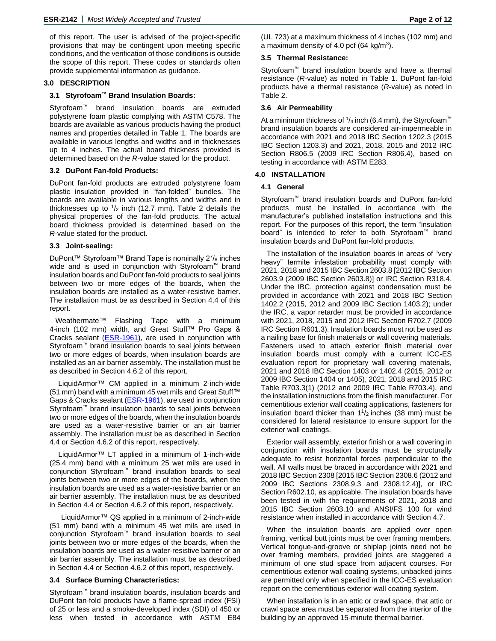of this report. The user is advised of the project-specific provisions that may be contingent upon meeting specific conditions, and the verification of those conditions is outside the scope of this report. These codes or standards often provide supplemental information as guidance.

## **3.0 DESCRIPTION**

#### **3.1 Styrofoam™ Brand Insulation Boards:**

Styrofoam™ brand insulation boards are extruded polystyrene foam plastic complying with ASTM C578. The boards are available as various products having the product names and properties detailed in Table 1. The boards are available in various lengths and widths and in thicknesses up to 4 inches. The actual board thickness provided is determined based on the *R*-value stated for the product.

#### **3.2 DuPont Fan-fold Products:**

DuPont fan-fold products are extruded polystyrene foam plastic insulation provided in "fan-folded" bundles. The boards are available in various lengths and widths and in thicknesses up to  $\frac{1}{2}$  inch (12.7 mm). Table 2 details the physical properties of the fan-fold products. The actual board thickness provided is determined based on the *R*-value stated for the product.

# **3.3 Joint-sealing:**

DuPont™ Styrofoam™ Brand Tape is nominally 2<sup>7</sup>/<sub>8</sub> inches wide and is used in conjunction with Styrofoam™ brand insulation boards and DuPont fan-fold products to seal joints between two or more edges of the boards, when the insulation boards are installed as a water-resistive barrier. The installation must be as described in Section 4.4 of this report.

Weathermate™ Flashing Tape with a minimum 4-inch (102 mm) width, and Great Stuff™ Pro Gaps & Cracks sealant [\(ESR-1961\)](http://www.icc-es.org/reports/pdf_files/ICC-ES/ESR-1961.pdf), are used in conjunction with Styrofoam™ brand insulation boards to seal joints between two or more edges of boards, when insulation boards are installed as an air barrier assembly. The installation must be as described in Section 4.6.2 of this report.

LiquidArmor™ CM applied in a minimum 2-inch-wide (51 mm) band with a minimum 45 wet mils and Great Stuff™ Gaps & Cracks sealant [\(ESR-1961\)](http://www.icc-es.org/reports/pdf_files/ICC-ES/ESR-1961.pdf), are used in conjunction Styrofoam™ brand insulation boards to seal joints between two or more edges of the boards, when the insulation boards are used as a water-resistive barrier or an air barrier assembly. The installation must be as described in Section 4.4 or Section 4.6.2 of this report, respectively.

LiquidArmor™ LT applied in a minimum of 1-inch-wide (25.4 mm) band with a minimum 25 wet mils are used in conjunction Styrofoam™ brand insulation boards to seal joints between two or more edges of the boards, when the insulation boards are used as a water-resistive barrier or an air barrier assembly. The installation must be as described in Section 4.4 or Section 4.6.2 of this report, respectively.

LiquidArmor™ QS applied in a minimum of 2-inch-wide (51 mm) band with a minimum 45 wet mils are used in conjunction Styrofoam™ brand insulation boards to seal joints between two or more edges of the boards, when the insulation boards are used as a water-resistive barrier or an air barrier assembly. The installation must be as described in Section 4.4 or Section 4.6.2 of this report, respectively.

#### **3.4 Surface Burning Characteristics:**

Styrofoam™ brand insulation boards, insulation boards and DuPont fan-fold products have a flame-spread index (FSI) of 25 or less and a smoke-developed index (SDI) of 450 or less when tested in accordance with ASTM E84

## **3.5 Thermal Resistance:**

Styrofoam™ brand insulation boards and have a thermal resistance (*R*-value) as noted in Table 1. DuPont fan-fold products have a thermal resistance (*R*-value) as noted in Table 2.

#### **3.6 Air Permeability**

At a minimum thickness of  $\frac{1}{4}$  inch (6.4 mm), the Styrofoam<sup>™</sup> brand insulation boards are considered air-impermeable in accordance with 2021 and 2018 IBC Section 1202.3 (2015 IBC Section 1203.3) and 2021, 2018, 2015 and 2012 IRC Section R806.5 (2009 IRC Section R806.4), based on testing in accordance with ASTM E283.

#### **4.0 INSTALLATION**

# **4.1 General**

Styrofoam™ brand insulation boards and DuPont fan-fold products must be installed in accordance with the manufacturer's published installation instructions and this report. For the purposes of this report, the term "insulation board" is intended to refer to both Styrofoam™ brand insulation boards and DuPont fan-fold products.

The installation of the insulation boards in areas of "very heavy" termite infestation probability must comply with 2021, 2018 and 2015 IBC Section 2603.8 [2012 IBC Section 2603.9 (2009 IBC Section 2603.8)] or IRC Section R318.4. Under the IBC, protection against condensation must be provided in accordance with 2021 and 2018 IBC Section 1402.2 (2015, 2012 and 2009 IBC Section 1403.2); under the IRC, a vapor retarder must be provided in accordance with 2021, 2018, 2015 and 2012 IRC Section R702.7 (2009 IRC Section R601.3). Insulation boards must not be used as a nailing base for finish materials or wall covering materials. Fasteners used to attach exterior finish material over insulation boards must comply with a current ICC-ES evaluation report for proprietary wall covering materials, 2021 and 2018 IBC Section 1403 or 1402.4 (2015, 2012 or 2009 IBC Section 1404 or 1405), 2021, 2018 and 2015 IRC Table R703.3(1) (2012 and 2009 IRC Table R703.4), and the installation instructions from the finish manufacturer. For cementitious exterior wall coating applications, fasteners for insulation board thicker than  $1\frac{1}{2}$  inches (38 mm) must be considered for lateral resistance to ensure support for the exterior wall coatings.

Exterior wall assembly, exterior finish or a wall covering in conjunction with insulation boards must be structurally adequate to resist horizontal forces perpendicular to the wall. All walls must be braced in accordance with 2021 and 2018 IBC Section 2308 [2015 IBC Section 2308.6 (2012 and 2009 IBC Sections 2308.9.3 and 2308.12.4)], or IRC Section R602.10, as applicable. The insulation boards have been tested in with the requirements of 2021, 2018 and 2015 IBC Section 2603.10 and ANSI/FS 100 for wind resistance when installed in accordance with Section 4.7.

When the insulation boards are applied over open framing, vertical butt joints must be over framing members. Vertical tongue-and-groove or shiplap joints need not be over framing members, provided joints are staggered a minimum of one stud space from adjacent courses. For cementitious exterior wall coating systems, unbacked joints are permitted only when specified in the ICC-ES evaluation report on the cementitious exterior wall coating system.

When installation is in an attic or crawl space, that attic or crawl space area must be separated from the interior of the building by an approved 15-minute thermal barrier.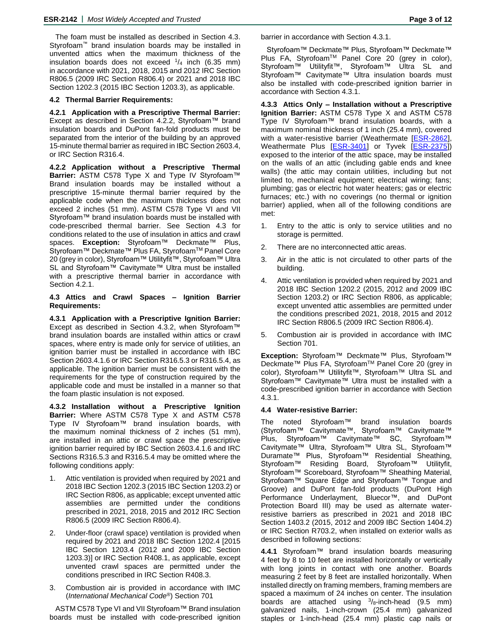The foam must be installed as described in Section 4.3. Styrofoam™ brand insulation boards may be installed in unvented attics when the maximum thickness of the insulation boards does not exceed  $1/4$  inch (6.35 mm) in accordance with 2021, 2018, 2015 and 2012 IRC Section R806.5 (2009 IRC Section R806.4) or 2021 and 2018 IBC Section 1202.3 (2015 IBC Section 1203.3), as applicable.

# **4.2 Thermal Barrier Requirements:**

**4.2.1 Application with a Prescriptive Thermal Barrier:** Except as described in Section 4.2.2, Styrofoam™ brand insulation boards and DuPont fan-fold products must be separated from the interior of the building by an approved 15-minute thermal barrier as required in IBC Section 2603.4, or IRC Section R316.4.

**4.2.2 Application without a Prescriptive Thermal Barrier:** ASTM C578 Type X and Type IV Styrofoam™ Brand insulation boards may be installed without a prescriptive 15-minute thermal barrier required by the applicable code when the maximum thickness does not exceed 2 inches (51 mm). ASTM C578 Type VI and VII Styrofoam™ brand insulation boards must be installed with code-prescribed thermal barrier. See Section 4.3 for conditions related to the use of insulation in attics and crawl spaces. **Exception:** Styrofoam™ Deckmate™ Plus, Styrofoam™ Deckmate™ Plus FA, StyrofoamTM Panel Core 20 (grey in color), Styrofoam™ Utilityfit™, Styrofoam™ Ultra SL and Styrofoam™ Cavitymate™ Ultra must be installed with a prescriptive thermal barrier in accordance with Section 4.2.1.

# **4.3 Attics and Crawl Spaces – Ignition Barrier Requirements:**

**4.3.1 Application with a Prescriptive Ignition Barrier:** Except as described in Section 4.3.2, when Styrofoam™ brand insulation boards are installed within attics or crawl spaces, where entry is made only for service of utilities, an ignition barrier must be installed in accordance with IBC Section 2603.4.1.6 or IRC Section R316.5.3 or R316.5.4, as applicable. The ignition barrier must be consistent with the requirements for the type of construction required by the applicable code and must be installed in a manner so that the foam plastic insulation is not exposed.

**4.3.2 Installation without a Prescriptive Ignition Barrier:** Where ASTM C578 Type X and ASTM C578 Type IV Styrofoam™ brand insulation boards, with the maximum nominal thickness of 2 inches (51 mm), are installed in an attic or crawl space the prescriptive ignition barrier required by IBC Section 2603.4.1.6 and IRC Sections R316.5.3 and R316.5.4 may be omitted where the following conditions apply:

- 1. Attic ventilation is provided when required by 2021 and 2018 IBC Section 1202.3 (2015 IBC Section 1203.2) or IRC Section R806, as applicable; except unvented attic assemblies are permitted under the conditions prescribed in 2021, 2018, 2015 and 2012 IRC Section R806.5 (2009 IRC Section R806.4).
- 2. Under-floor (crawl space) ventilation is provided when required by 2021 and 2018 IBC Section 1202.4 [2015 IBC Section 1203.4 (2012 and 2009 IBC Section 1203.3)] or IRC Section R408.1, as applicable, except unvented crawl spaces are permitted under the conditions prescribed in IRC Section R408.3.
- 3. Combustion air is provided in accordance with IMC (*International Mechanical Code®*) Section 701

ASTM C578 Type VI and VII Styrofoam™ Brand insulation boards must be installed with code-prescribed ignition barrier in accordance with Section 4.3.1.

Styrofoam™ Deckmate™ Plus, Styrofoam™ Deckmate™ Plus FA, StyrofoamTM Panel Core 20 (grey in color), Styrofoam™ Utilityfit™, Styrofoam™ Ultra SL and Styrofoam™ Cavitymate™ Ultra insulation boards must also be installed with code-prescribed ignition barrier in accordance with Section 4.3.1.

**4.3.3 Attics Only – Installation without a Prescriptive Ignition Barrier:** ASTM C578 Type X and ASTM C578 Type IV Styrofoam™ brand insulation boards, with a maximum nominal thickness of 1 inch (25.4 mm), covered with a water-resistive barrier (Weathermate [\[ESR-2862\]](http://www.icc-es.org/reports/pdf_files/ICC-ES/ESR-2862.pdf), Weathermate Plus [\[ESR-3401\]](http://www.icc-es.org/Reports/pdf_files/load_file.cfm?file_type=pdf&file_name=ESR-3401.pdf) or Tyvek [\[ESR-2375\]](http://www.icc-es.org/reports/pdf_files/ICC-ES/ESR-2375.pdf)) exposed to the interior of the attic space, may be installed on the walls of an attic (including gable ends and knee walls) (the attic may contain utilities, including but not limited to, mechanical equipment; electrical wiring; fans; plumbing; gas or electric hot water heaters; gas or electric furnaces; etc.) with no coverings (no thermal or ignition barrier) applied, when all of the following conditions are met:

- 1. Entry to the attic is only to service utilities and no storage is permitted.
- 2. There are no interconnected attic areas.
- 3. Air in the attic is not circulated to other parts of the building.
- 4. Attic ventilation is provided when required by 2021 and 2018 IBC Section 1202.2 (2015, 2012 and 2009 IBC Section 1203.2) or IRC Section R806, as applicable; except unvented attic assemblies are permitted under the conditions prescribed 2021, 2018, 2015 and 2012 IRC Section R806.5 (2009 IRC Section R806.4).
- 5. Combustion air is provided in accordance with IMC Section 701.

**Exception:** Styrofoam™ Deckmate™ Plus, Styrofoam™ Deckmate™ Plus FA, Styrofoam™ Panel Core 20 (grey in color), Styrofoam™ Utilityfit™, Styrofoam™ Ultra SL and Styrofoam™ Cavitymate™ Ultra must be installed with a code-prescribed ignition barrier in accordance with Section 4.3.1.

# **4.4 Water-resistive Barrier:**

The noted Styrofoam™ brand insulation boards (Styrofoam™ Cavitymate™, Styrofoam™ Cavitymate™<br>Plus, Styrofoam™ Cavitymate™ SC, Styrofoam™ Plus, Styrofoam™ Cavitymate™ Cavitymate™ Ultra, Styrofoam™ Ultra SL, Styrofoam™ Duramate™ Plus, Styrofoam™ Residential Sheathing, Styrofoam™ Residing Board, Styrofoam™ Utilityfit, Styrofoam™ Scoreboard, Styrofoam™ Sheathing Material, Styrofoam™ Square Edge and Styrofoam™ Tongue and Groove) and DuPont fan-fold products (DuPont High Performance Underlayment, Bluecor™, and DuPont Protection Board III) may be used as alternate waterresistive barriers as prescribed in 2021 and 2018 IBC Section 1403.2 (2015, 2012 and 2009 IBC Section 1404.2) or IRC Section R703.2, when installed on exterior walls as described in following sections:

**4.4.1** Styrofoam™ brand insulation boards measuring 4 feet by 8 to 10 feet are installed horizontally or vertically with long joints in contact with one another. Boards measuring 2 feet by 8 feet are installed horizontally. When installed directly on framing members, framing members are spaced a maximum of 24 inches on center. The insulation boards are attached using  $3/8$ -inch-head (9.5 mm) galvanized nails, 1-inch-crown (25.4 mm) galvanized staples or 1-inch-head (25.4 mm) plastic cap nails or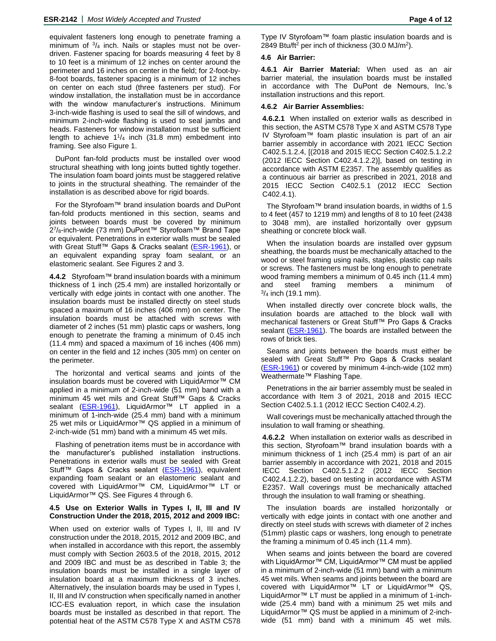equivalent fasteners long enough to penetrate framing a minimum of  $3/4$  inch. Nails or staples must not be overdriven. Fastener spacing for boards measuring 4 feet by 8 to 10 feet is a minimum of 12 inches on center around the perimeter and 16 inches on center in the field; for 2-foot-by-8-foot boards, fastener spacing is a minimum of 12 inches on center on each stud (three fasteners per stud). For window installation, the installation must be in accordance with the window manufacturer's instructions. Minimum 3-inch-wide flashing is used to seal the sill of windows, and minimum 2-inch-wide flashing is used to seal jambs and heads. Fasteners for window installation must be sufficient length to achieve  $1\frac{1}{4}$  inch (31.8 mm) embedment into framing. See also Figure 1.

DuPont fan-fold products must be installed over wood structural sheathing with long joints butted tightly together. The insulation foam board joints must be staggered relative to joints in the structural sheathing. The remainder of the installation is as described above for rigid boards.

For the Styrofoam™ brand insulation boards and DuPont fan-fold products mentioned in this section, seams and joints between boards must be covered by minimum 2<sup>7</sup>/<sub>8</sub>-inch-wide (73 mm) DuPont™ Styrofoam™ Brand Tape or equivalent. Penetrations in exterior walls must be sealed with Great Stuff™ Gaps & Cracks sealant [\(ESR-1961\)](http://www.icc-es.org/reports/pdf_files/ICC-ES/ESR-1961.pdf), or an equivalent expanding spray foam sealant, or an elastomeric sealant. See Figures 2 and 3.

**4.4.2** Styrofoam™ brand insulation boards with a minimum thickness of 1 inch (25.4 mm) are installed horizontally or vertically with edge joints in contact with one another. The insulation boards must be installed directly on steel studs spaced a maximum of 16 inches (406 mm) on center. The insulation boards must be attached with screws with diameter of 2 inches (51 mm) plastic caps or washers, long enough to penetrate the framing a minimum of 0.45 inch (11.4 mm) and spaced a maximum of 16 inches (406 mm) on center in the field and 12 inches (305 mm) on center on the perimeter.

The horizontal and vertical seams and joints of the insulation boards must be covered with LiquidArmor™ CM applied in a minimum of 2-inch-wide (51 mm) band with a minimum 45 wet mils and Great Stuff™ Gaps & Cracks sealant [\(ESR-1961\)](http://www.icc-es.org/reports/pdf_files/ICC-ES/ESR-1961.pdf), LiquidArmor™ LT applied in a minimum of 1-inch-wide (25.4 mm) band with a minimum 25 wet mils or LiquidArmor™ QS applied in a minimum of 2-inch-wide (51 mm) band with a minimum 45 wet mils.

Flashing of penetration items must be in accordance with the manufacturer's published installation instructions. Penetrations in exterior walls must be sealed with Great Stuff™ Gaps & Cracks sealant [\(ESR-1961\)](http://www.icc-es.org/reports/pdf_files/ICC-ES/ESR-1961.pdf), equivalent expanding foam sealant or an elastomeric sealant and covered with LiquidArmor™ CM, LiquidArmor™ LT or LiquidArmor™ QS. See Figures 4 through 6.

#### **4.5 Use on Exterior Walls in Types I, II, III and IV Construction Under the 2018, 2015, 2012 and 2009 IBC:**

When used on exterior walls of Types I, II, III and IV construction under the 2018, 2015, 2012 and 2009 IBC, and when installed in accordance with this report, the assembly must comply with Section 2603.5 of the 2018, 2015, 2012 and 2009 IBC and must be as described in Table 3; the insulation boards must be installed in a single layer of insulation board at a maximum thickness of 3 inches. Alternatively, the insulation boards may be used in Types I, II, III and IV construction when specifically named in another ICC-ES evaluation report, in which case the insulation boards must be installed as described in that report. The potential heat of the ASTM C578 Type X and ASTM C578 Type IV Styrofoam™ foam plastic insulation boards and is 2849 Btu/ft<sup>2</sup> per inch of thickness (30.0 MJ/m<sup>2</sup>).

# **4.6 Air Barrier:**

**4.6.1 Air Barrier Material:** When used as an air barrier material, the insulation boards must be installed in accordance with The DuPont de Nemours, Inc.'s installation instructions and this report.

## **4.6.2 Air Barrier Assemblies:**

**4.6.2.1** When installed on exterior walls as described in this section, the ASTM C578 Type X and ASTM C578 Type IV Styrofoam™ foam plastic insulation is part of an air barrier assembly in accordance with 2021 IECC Section C402.5.1.2.4, [(2018 and 2015 IECC Section C402.5.1.2.2 (2012 IECC Section C402.4.1.2.2)], based on testing in accordance with ASTM E2357. The assembly qualifies as a continuous air barrier as prescribed in 2021, 2018 and 2015 IECC Section C402.5.1 (2012 IECC Section C402.4.1).

The Styrofoam™ brand insulation boards, in widths of 1.5 to 4 feet (457 to 1219 mm) and lengths of 8 to 10 feet (2438 to 3048 mm), are installed horizontally over gypsum sheathing or concrete block wall.

When the insulation boards are installed over gypsum sheathing, the boards must be mechanically attached to the wood or steel framing using nails, staples, plastic cap nails or screws. The fasteners must be long enough to penetrate wood framing members a minimum of 0.45 inch (11.4 mm) and steel framing members a minimum of  $\frac{3}{4}$  inch (19.1 mm).

When installed directly over concrete block walls, the insulation boards are attached to the block wall with mechanical fasteners or Great Stuff™ Pro Gaps & Cracks sealant [\(ESR-1961\)](http://www.icc-es.org/reports/pdf_files/ICC-ES/ESR-1961.pdf). The boards are installed between the rows of brick ties.

Seams and joints between the boards must either be sealed with Great Stuff™ Pro Gaps & Cracks sealant [\(ESR-1961\)](http://www.icc-es.org/reports/pdf_files/ICC-ES/ESR-1961.pdf) or covered by minimum 4-inch-wide (102 mm) Weathermate™ Flashing Tape.

Penetrations in the air barrier assembly must be sealed in accordance with Item 3 of 2021, 2018 and 2015 IECC Section C402.5.1.1 (2012 IECC Section C402.4.2).

Wall coverings must be mechanically attached through the insulation to wall framing or sheathing.

**4.6.2.2** When installation on exterior walls as described in this section, Styrofoam™ brand insulation boards with a minimum thickness of 1 inch (25.4 mm) is part of an air barrier assembly in accordance with 2021, 2018 and 2015 IECC Section C402.5.1.2.2 (2012 IECC Section C402.4.1.2.2), based on testing in accordance with ASTM E2357. Wall coverings must be mechanically attached through the insulation to wall framing or sheathing.

The insulation boards are installed horizontally or vertically with edge joints in contact with one another and directly on steel studs with screws with diameter of 2 inches (51mm) plastic caps or washers, long enough to penetrate the framing a minimum of 0.45 inch (11.4 mm).

When seams and joints between the board are covered with LiquidArmor™ CM, LiquidArmor™ CM must be applied in a minimum of 2-inch-wide (51 mm) band with a minimum 45 wet mils. When seams and joints between the board are covered with LiquidArmor™ LT or LiquidArmor™ QS, LiquidArmor™ LT must be applied in a minimum of 1-inchwide (25.4 mm) band with a minimum 25 wet mils and LiquidArmor™ QS must be applied in a minimum of 2-inchwide (51 mm) band with a minimum 45 wet mils.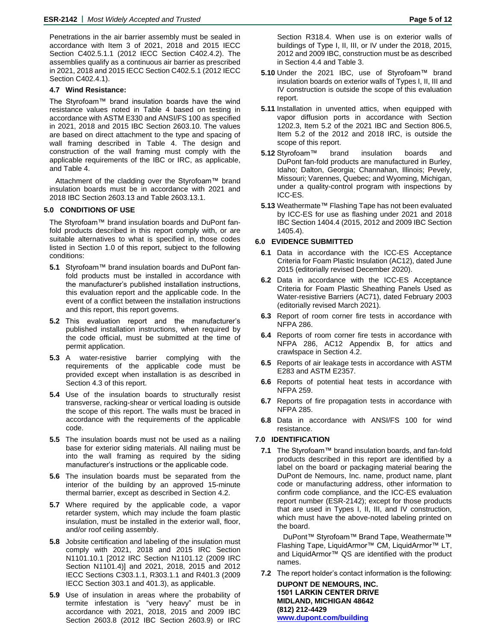Penetrations in the air barrier assembly must be sealed in accordance with Item 3 of 2021, 2018 and 2015 IECC Section C402.5.1.1 (2012 IECC Section C402.4.2). The assemblies qualify as a continuous air barrier as prescribed in 2021, 2018 and 2015 IECC Section C402.5.1 (2012 IECC Section C402.4.1).

## **4.7 Wind Resistance:**

The Styrofoam™ brand insulation boards have the wind resistance values noted in Table 4 based on testing in accordance with ASTM E330 and ANSI/FS 100 as specified in 2021, 2018 and 2015 IBC Section 2603.10. The values are based on direct attachment to the type and spacing of wall framing described in Table 4. The design and construction of the wall framing must comply with the applicable requirements of the IBC or IRC, as applicable, and Table 4.

Attachment of the cladding over the Styrofoam™ brand insulation boards must be in accordance with 2021 and 2018 IBC Section 2603.13 and Table 2603.13.1.

## **5.0 CONDITIONS OF USE**

The Styrofoam™ brand insulation boards and DuPont fanfold products described in this report comply with, or are suitable alternatives to what is specified in, those codes listed in Section 1.0 of this report, subject to the following conditions:

- **5.1** Styrofoam™ brand insulation boards and DuPont fanfold products must be installed in accordance with the manufacturer's published installation instructions, this evaluation report and the applicable code. In the event of a conflict between the installation instructions and this report, this report governs.
- **5.2** This evaluation report and the manufacturer's published installation instructions, when required by the code official, must be submitted at the time of permit application.
- **5.3** A water-resistive barrier complying with the requirements of the applicable code must be provided except when installation is as described in Section 4.3 of this report.
- **5.4** Use of the insulation boards to structurally resist transverse, racking-shear or vertical loading is outside the scope of this report. The walls must be braced in accordance with the requirements of the applicable code.
- **5.5** The insulation boards must not be used as a nailing base for exterior siding materials. All nailing must be into the wall framing as required by the siding manufacturer's instructions or the applicable code.
- **5.6** The insulation boards must be separated from the interior of the building by an approved 15-minute thermal barrier, except as described in Section 4.2.
- **5.7** Where required by the applicable code, a vapor retarder system, which may include the foam plastic insulation, must be installed in the exterior wall, floor, and/or roof ceiling assembly.
- **5.8** Jobsite certification and labeling of the insulation must comply with 2021, 2018 and 2015 IRC Section N1101.10.1 [2012 IRC Section N1101.12 (2009 IRC Section N1101.4)] and 2021, 2018, 2015 and 2012 IECC Sections C303.1.1, R303.1.1 and R401.3 (2009 IECC Section 303.1 and 401.3), as applicable.
- **5.9** Use of insulation in areas where the probability of termite infestation is "very heavy" must be in accordance with 2021, 2018, 2015 and 2009 IBC Section 2603.8 (2012 IBC Section 2603.9) or IRC

Section R318.4. When use is on exterior walls of buildings of Type I, II, III, or IV under the 2018, 2015, 2012 and 2009 IBC, construction must be as described in Section 4.4 and Table 3.

- **5.10** Under the 2021 IBC, use of Styrofoam™ brand insulation boards on exterior walls of Types I, II, III and IV construction is outside the scope of this evaluation report.
- **5.11** Installation in unvented attics, when equipped with vapor diffusion ports in accordance with Section 1202.3, Item 5.2 of the 2021 IBC and Section 806.5, Item 5.2 of the 2012 and 2018 IRC, is outside the scope of this report.
- **5.12** Styrofoam™ brand insulation boards and DuPont fan-fold products are manufactured in Burley, Idaho; Dalton, Georgia; Channahan, Illinois; Pevely, Missouri; Varennes, Quebec; and Wyoming, Michigan, under a quality-control program with inspections by ICC-ES.
- **5.13** Weathermate™ Flashing Tape has not been evaluated by ICC-ES for use as flashing under 2021 and 2018 IBC Section 1404.4 (2015, 2012 and 2009 IBC Section 1405.4).

## **6.0 EVIDENCE SUBMITTED**

- **6.1** Data in accordance with the ICC-ES Acceptance Criteria for Foam Plastic Insulation (AC12), dated June 2015 (editorially revised December 2020).
- **6.2** Data in accordance with the ICC-ES Acceptance Criteria for Foam Plastic Sheathing Panels Used as Water-resistive Barriers (AC71), dated February 2003 (editorially revised March 2021).
- **6.3** Report of room corner fire tests in accordance with NFPA 286.
- **6.4** Reports of room corner fire tests in accordance with NFPA 286, AC12 Appendix B, for attics and crawlspace in Section 4.2.
- **6.5** Reports of air leakage tests in accordance with ASTM E283 and ASTM E2357.
- **6.6** Reports of potential heat tests in accordance with NFPA 259.
- **6.7** Reports of fire propagation tests in accordance with NFPA 285.
- **6.8** Data in accordance with ANSI/FS 100 for wind resistance.

# **7.0 IDENTIFICATION**

**7.1** The Styrofoam™ brand insulation boards, and fan-fold products described in this report are identified by a label on the board or packaging material bearing the DuPont de Nemours, Inc. name, product name, plant code or manufacturing address, other information to confirm code compliance, and the ICC-ES evaluation report number (ESR-2142); except for those products that are used in Types I, II, III, and IV construction, which must have the above-noted labeling printed on the board.

DuPont™ Styrofoam™ Brand Tape, Weathermate™ Flashing Tape, LiquidArmor™ CM, LiquidArmor™ LT, and LiquidArmor™ QS are identified with the product names.

**7.2** The report holder's contact information is the following:

**DUPONT DE NEMOURS, INC. 1501 LARKIN CENTER DRIVE MIDLAND, MICHIGAN 48642 (812) 212-4429 [www.dupont.com/building](http://www.dupont.com/building)**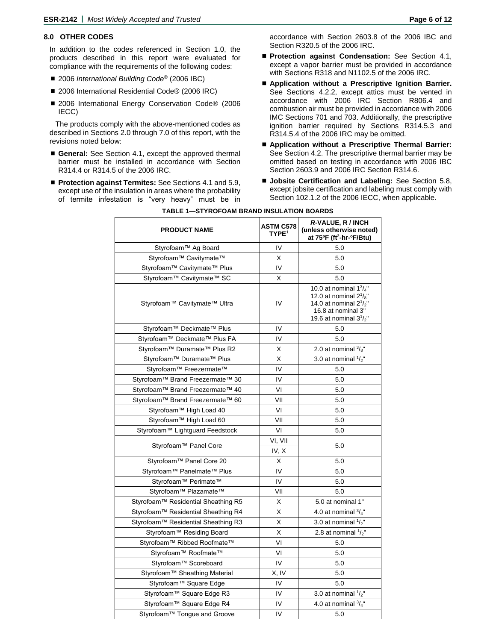## **8.0 OTHER CODES**

In addition to the codes referenced in Section 1.0, the products described in this report were evaluated for compliance with the requirements of the following codes:

- 2006 *International Building Code<sup>®</sup>* (2006 IBC)
- 2006 International Residential Code<sup>®</sup> (2006 IRC)
- 2006 International Energy Conservation Code® (2006 IECC)

The products comply with the above-mentioned codes as described in Sections 2.0 through 7.0 of this report, with the revisions noted below:

- General: See Section 4.1, except the approved thermal barrier must be installed in accordance with Section R314.4 or R314.5 of the 2006 IRC.
- Protection against Termites: See Sections 4.1 and 5.9, except use of the insulation in areas where the probability of termite infestation is "very heavy" must be in

accordance with Section 2603.8 of the 2006 IBC and Section R320.5 of the 2006 IRC.

- **Protection against Condensation:** See Section 4.1, except a vapor barrier must be provided in accordance with Sections R318 and N1102.5 of the 2006 IRC.
- **Application without a Prescriptive Ignition Barrier.** See Sections 4.2.2, except attics must be vented in accordance with 2006 IRC Section R806.4 and combustion air must be provided in accordance with 2006 IMC Sections 701 and 703. Additionally, the prescriptive ignition barrier required by Sections R314.5.3 and R314.5.4 of the 2006 IRC may be omitted.
- **Application without a Prescriptive Thermal Barrier:** See Section 4.2. The prescriptive thermal barrier may be omitted based on testing in accordance with 2006 IBC Section 2603.9 and 2006 IRC Section R314.6.
- **Jobsite Certification and Labeling:** See Section 5.8, except jobsite certification and labeling must comply with Section 102.1.2 of the 2006 IECC, when applicable.

| <b>PRODUCT NAME</b>                 | <b>ASTM C578</b><br>TYPE <sup>1</sup> | R-VALUE, R / INCH<br>(unless otherwise noted)<br>at 75°F (ft <sup>2</sup> -hr-°F/Btu)                                                             |  |
|-------------------------------------|---------------------------------------|---------------------------------------------------------------------------------------------------------------------------------------------------|--|
| Styrofoam™ Ag Board                 | IV                                    | 5.0                                                                                                                                               |  |
| Styrofoam™ Cavitymate™              | X                                     | 5.0                                                                                                                                               |  |
| Styrofoam™ Cavitymate™ Plus         | IV                                    | 5.0                                                                                                                                               |  |
| Styrofoam™ Cavitymate™ SC           | X                                     | 5.0                                                                                                                                               |  |
| Styrofoam™ Cavitymate™ Ultra        | IV                                    | 10.0 at nominal $1\frac{3}{4}$ "<br>12.0 at nominal $2^{1}/8$<br>14.0 at nominal $2^{1}/2$ "<br>16.8 at nominal 3"<br>19.6 at nominal $3^{1}/2$ " |  |
| Styrofoam™ Deckmate™ Plus           | IV                                    | 5.0                                                                                                                                               |  |
| Styrofoam™ Deckmate™ Plus FA        | IV                                    | 5.0                                                                                                                                               |  |
| Styrofoam™ Duramate™ Plus R2        | X                                     | 2.0 at nominal $\frac{3}{8}$ "                                                                                                                    |  |
| Styrofoam™ Duramate™ Plus           | Χ                                     | 3.0 at nominal $\frac{1}{2}$ "                                                                                                                    |  |
| Styrofoam™ Freezermate™             | IV                                    | 5.0                                                                                                                                               |  |
| Styrofoam™ Brand Freezermate™ 30    | IV                                    | 5.0                                                                                                                                               |  |
| Styrofoam™ Brand Freezermate™ 40    | VI                                    | 5.0                                                                                                                                               |  |
| Styrofoam™ Brand Freezermate™ 60    | VII                                   | 5.0                                                                                                                                               |  |
| Styrofoam™ High Load 40             | VI                                    | 5.0                                                                                                                                               |  |
| Styrofoam™ High Load 60             | VII                                   | 5.0                                                                                                                                               |  |
| Styrofoam™ Lightguard Feedstock     | VI                                    | 5.0                                                                                                                                               |  |
| Styrofoam™ Panel Core               | VI, VII<br>IV, X                      | 5.0                                                                                                                                               |  |
| Styrofoam™ Panel Core 20            | X                                     | 5.0                                                                                                                                               |  |
| Styrofoam™ Panelmate™ Plus          | IV                                    | 5.0                                                                                                                                               |  |
| Styrofoam™ Perimate™                | IV                                    | 5.0                                                                                                                                               |  |
| Styrofoam™ Plazamate™               | VII                                   | 5.0                                                                                                                                               |  |
| Styrofoam™ Residential Sheathing R5 | X                                     | 5.0 at nominal 1"                                                                                                                                 |  |
| Styrofoam™ Residential Sheathing R4 | Χ                                     | 4.0 at nominal $\frac{3}{4}$ "                                                                                                                    |  |
| Styrofoam™ Residential Sheathing R3 | Χ                                     | 3.0 at nominal $\frac{1}{2}$ "                                                                                                                    |  |
| Styrofoam™ Residing Board           | Χ                                     | 2.8 at nominal $\frac{1}{2}$ "                                                                                                                    |  |
| Styrofoam™ Ribbed Roofmate™         | VI                                    | 5.0                                                                                                                                               |  |
| Styrofoam™ Roofmate™                | VI                                    | 5.0                                                                                                                                               |  |
| Styrofoam™ Scoreboard               | IV                                    | 5.0                                                                                                                                               |  |
| Styrofoam™ Sheathing Material       | X, IV                                 | 5.0                                                                                                                                               |  |
| Styrofoam™ Square Edge              | IV                                    | 5.0                                                                                                                                               |  |
| Styrofoam™ Square Edge R3           | IV                                    | 3.0 at nominal $1/2$ "                                                                                                                            |  |
| Styrofoam™ Square Edge R4           | IV                                    | 4.0 at nominal $\frac{3}{4}$ "                                                                                                                    |  |
| Styrofoam™ Tongue and Groove        | IV                                    | 5.0                                                                                                                                               |  |

#### **TABLE 1—STYROFOAM BRAND INSULATION BOARDS**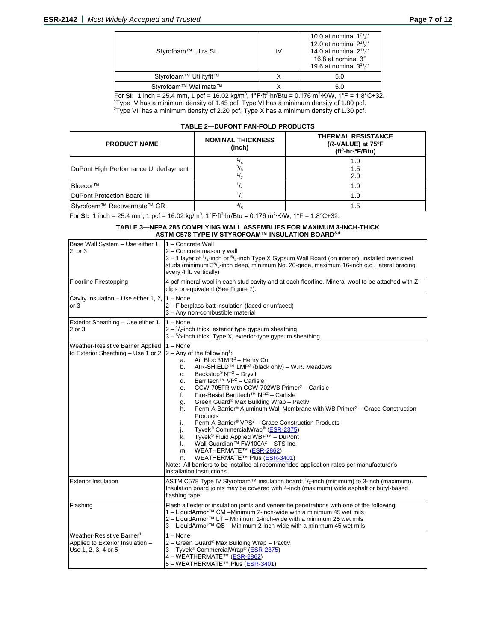| Styrofoam™ Ultra SL    | IV | 10.0 at nominal $1\frac{3}{4}$ "<br>12.0 at nominal $2^{1}/s$ "<br>14.0 at nominal $2^{1/2}$<br>16.8 at nominal 3"<br>19.6 at nominal $3^{1/2}$ |
|------------------------|----|-------------------------------------------------------------------------------------------------------------------------------------------------|
| Styrofoam™ Utilityfit™ |    | 5.0                                                                                                                                             |
| Styrofoam™ Wallmate™   |    | 5.0                                                                                                                                             |

For **SI:** 1 inch = 25.4 mm, 1 pcf = 16.02 kg/m<sup>3</sup>, 1°F·ft<sup>2</sup>·hr/Btu = 0.176 m<sup>2</sup>·K/W, 1°F = 1.8°C+32. <sup>1</sup>Type IV has a minimum density of 1.45 pcf, Type VI has a minimum density of 1.80 pcf. <sup>2</sup>Type VII has a minimum density of 2.20 pcf, Type X has a minimum density of 1.30 pcf.

#### **TABLE 2—DUPONT FAN-FOLD PRODUCTS**

| <b>PRODUCT NAME</b>                  | <b>NOMINAL THICKNESS</b><br>(inch) | <b>THERMAL RESISTANCE</b><br>(R-VALUE) at 75°F<br>$(ft2-hr-oF/Btu)$ |
|--------------------------------------|------------------------------------|---------------------------------------------------------------------|
| DuPont High Performance Underlayment |                                    | 1.0<br>1.5<br>2.0                                                   |
| IBluecor™                            |                                    | 1.0                                                                 |
| DuPont Protection Board III          |                                    | 1.0                                                                 |
| Styrofoam™ Recovermate™ CR           |                                    | 1.5                                                                 |

**For SI:** 1 inch = 25.4 mm, 1 pcf = 16.02 kg/m<sup>3</sup>, 1°F·ft<sup>2</sup>·hr/Btu = 0.176 m<sup>2</sup>·K/W, 1°F = 1.8°C+32.

#### **TABLE 3—NFPA 285 COMPLYING WALL ASSEMBLIES FOR MAXIMUM 3-INCH-THICK ASTM C578 TYPE IV STYROFOAM™ INSULATION BOARD3,4**

| Base Wall System - Use either 1,<br>2, or 3                                                                    | 1 - Concrete Wall<br>2 - Concrete masonry wall<br>$3 - 1$ layer of $\frac{1}{2}$ -inch or $\frac{5}{8}$ -inch Type X Gypsum Wall Board (on interior), installed over steel<br>studs (minimum 3 <sup>5</sup> / <sub>8</sub> -inch deep, minimum No. 20-gage, maximum 16-inch o.c., lateral bracing<br>every 4 ft. vertically)                                                                                                                                                                                                                                                                                                                                                                                                                                                                                                                                                                                                                                                           |  |  |
|----------------------------------------------------------------------------------------------------------------|----------------------------------------------------------------------------------------------------------------------------------------------------------------------------------------------------------------------------------------------------------------------------------------------------------------------------------------------------------------------------------------------------------------------------------------------------------------------------------------------------------------------------------------------------------------------------------------------------------------------------------------------------------------------------------------------------------------------------------------------------------------------------------------------------------------------------------------------------------------------------------------------------------------------------------------------------------------------------------------|--|--|
| <b>Floorline Firestopping</b>                                                                                  | 4 pcf mineral wool in each stud cavity and at each floorline. Mineral wool to be attached with Z-<br>clips or equivalent (See Figure 7).                                                                                                                                                                                                                                                                                                                                                                                                                                                                                                                                                                                                                                                                                                                                                                                                                                               |  |  |
| Cavity Insulation - Use either 1, 2,<br>or <sub>3</sub>                                                        | $1 - None$<br>2 - Fiberglass batt insulation (faced or unfaced)<br>3 - Any non-combustible material                                                                                                                                                                                                                                                                                                                                                                                                                                                                                                                                                                                                                                                                                                                                                                                                                                                                                    |  |  |
| Exterior Sheathing - Use either 1,<br>2 or 3                                                                   | $1 - None$<br>$2 - \frac{1}{2}$ -inch thick, exterior type gypsum sheathing<br>$3 - \frac{5}{8}$ -inch thick, Type X, exterior-type gypsum sheathing                                                                                                                                                                                                                                                                                                                                                                                                                                                                                                                                                                                                                                                                                                                                                                                                                                   |  |  |
| Weather-Resistive Barrier Applied<br>to Exterior Sheathing – Use 1 or 2 $ 2 - \text{Any of the following}^{1}$ | $1 - None$<br>Air Bloc 31MR <sup>2</sup> - Henry Co.<br>a.<br>AIR-SHIELD™ LMP <sup>2</sup> (black only) – W.R. Meadows<br>b.<br>Backstop® NT <sup>2</sup> - Dryvit<br>c.<br>Barritech™ VP <sup>2</sup> - Carlisle<br>d.<br>CCW-705FR with CCW-702WB Primer <sup>2</sup> - Carlisle<br>e.<br>Fire-Resist Barritech™ NP <sup>2</sup> - Carlisle<br>f.<br>Green Guard® Max Building Wrap - Pactiv<br>g.<br>Perm-A-Barrier® Aluminum Wall Membrane with WB Primer <sup>2</sup> - Grace Construction<br>h.<br>Products<br>Perm-A-Barrier® VPS <sup>2</sup> – Grace Construction Products<br>i.<br>Tyvek <sup>®</sup> CommercialWrap <sup>®</sup> (ESR-2375)<br>j.<br>Tyvek <sup>®</sup> Fluid Applied WB+™ – DuPont<br>k.<br>Wall Guardian <sup>™</sup> FW100A <sup>2</sup> - STS Inc.<br>I.<br>WEATHERMATE™ (ESR-2862)<br>m.<br>WEATHERMATE™ Plus (ESR-3401)<br>n.<br>Note: All barriers to be installed at recommended application rates per manufacturer's<br>installation instructions. |  |  |
| <b>Exterior Insulation</b>                                                                                     | ASTM C578 Type IV Styrofoam <sup>TM</sup> insulation board: $1/2$ -inch (minimum) to 3-inch (maximum).<br>Insulation board joints may be covered with 4-inch (maximum) wide asphalt or butyl-based<br>flashing tape                                                                                                                                                                                                                                                                                                                                                                                                                                                                                                                                                                                                                                                                                                                                                                    |  |  |
| Flashing                                                                                                       | Flash all exterior insulation joints and veneer tie penetrations with one of the following:<br>1 - LiquidArmor™ CM -Minimum 2-inch-wide with a minimum 45 wet mils<br>2 – LiquidArmor™ LT – Minimum 1-inch-wide with a minimum 25 wet mils<br>3 - LiquidArmor™ QS - Minimum 2-inch-wide with a minimum 45 wet mils                                                                                                                                                                                                                                                                                                                                                                                                                                                                                                                                                                                                                                                                     |  |  |
| Weather-Resistive Barrier <sup>1</sup><br>Applied to Exterior Insulation -<br>Use 1, 2, 3, 4 or 5              | $1 - None$<br>2 - Green Guard® Max Building Wrap - Pactiv<br>3 - Tyvek <sup>®</sup> CommercialWrap® (ESR-2375)<br>4 – WEATHERMATE™ (ESR-2862)<br>5 - WEATHERMATE™ Plus (ESR-3401)                                                                                                                                                                                                                                                                                                                                                                                                                                                                                                                                                                                                                                                                                                                                                                                                      |  |  |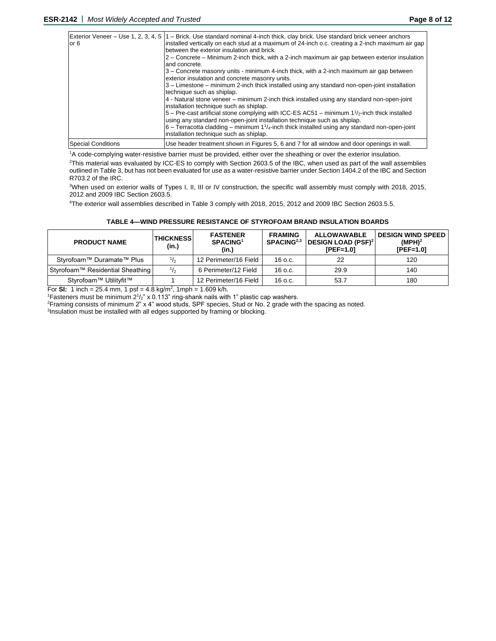| or 6                      | Exterior Veneer – Use 1, 2, 3, 4, 5   1 – Brick. Use standard nominal 4-inch thick, clay brick. Use standard brick veneer anchors<br>installed vertically on each stud at a maximum of 24-inch o.c. creating a 2-inch maximum air gap<br>between the exterior insulation and brick.<br>2 – Concrete – Minimum 2-inch thick, with a 2-inch maximum air gap between exterior insulation<br>and concrete.<br>3 – Concrete masonry units - minimum 4-inch thick, with a 2-inch maximum air gap between<br>exterior insulation and concrete masonry units.<br>3 – Limestone – minimum 2-inch thick installed using any standard non-open-joint installation<br>technique such as shiplap.<br>4 - Natural stone veneer – minimum 2-inch thick installed using any standard non-open-joint<br>installation technique such as shiplap.<br>$5$ – Pre-cast artificial stone complying with ICC-ES AC51 – minimum 1 $\frac{1}{2}$ -inch thick installed<br>using any standard non-open-joint installation technique such as shiplap.<br>$6$ – Terracotta cladding – minimum $1^{1}/_{4}$ -inch thick installed using any standard non-open-joint<br>installation technique such as shiplap. |
|---------------------------|----------------------------------------------------------------------------------------------------------------------------------------------------------------------------------------------------------------------------------------------------------------------------------------------------------------------------------------------------------------------------------------------------------------------------------------------------------------------------------------------------------------------------------------------------------------------------------------------------------------------------------------------------------------------------------------------------------------------------------------------------------------------------------------------------------------------------------------------------------------------------------------------------------------------------------------------------------------------------------------------------------------------------------------------------------------------------------------------------------------------------------------------------------------------------------|
| <b>Special Conditions</b> | Use header treatment shown in Figures 5, 6 and 7 for all window and door openings in wall.                                                                                                                                                                                                                                                                                                                                                                                                                                                                                                                                                                                                                                                                                                                                                                                                                                                                                                                                                                                                                                                                                       |

<sup>1</sup>A code-complying water-resistive barrier must be provided, either over the sheathing or over the exterior insulation.

<sup>2</sup>This material was evaluated by ICC-ES to comply with Section 2603.5 of the IBC, when used as part of the wall assemblies outlined in Table 3, but has not been evaluated for use as a water-resistive barrier under Section 1404.2 of the IBC and Section R703.2 of the IRC.

<sup>3</sup>When used on exterior walls of Types I, II, III or IV construction, the specific wall assembly must comply with 2018, 2015, 2012 and 2009 IBC Section 2603.5.

<sup>4</sup>The exterior wall assemblies described in Table 3 comply with 2018, 2015, 2012 and 2009 IBC Section 2603.5.5.

| <b>PRODUCT NAME</b>              | <b>THICKNESSI</b><br>(in.) | <b>FASTENER</b><br>SPACING <sup>1</sup><br>(in.) | <b>FRAMING</b><br>SPACING <sup>2,3</sup> | <b>ALLOWAWABLE</b><br><b>DESIGN LOAD (PSF)<sup>2</sup></b><br>$IPEF=1.01$ | <b>DESIGN WIND SPEED</b><br>(MPH) <sup>2</sup><br>$[PEF=1.0]$ |
|----------------------------------|----------------------------|--------------------------------------------------|------------------------------------------|---------------------------------------------------------------------------|---------------------------------------------------------------|
| Styrofoam™ Duramate™ Plus        |                            | 12 Perimeter/16 Field                            | 16 o.c.                                  | 22                                                                        | 120                                                           |
| Styrofoam™ Residential Sheathing |                            | 6 Perimeter/12 Field                             | 16 o.c.                                  | 29.9                                                                      | 140                                                           |
| Styrofoam™ Utilityfit™           |                            | 12 Perimeter/16 Field                            | 16 o.c.                                  | 53.7                                                                      | 180                                                           |

For **SI:** 1 inch = 25.4 mm, 1 psf = 4.8 kg/m<sup>2</sup>, 1mph = 1.609 k/h.

<sup>1</sup>Fasteners must be minimum  $2^{1}/2$ " x 0.113" ring-shank nails with 1" plastic cap washers.

<sup>2</sup>Framing consists of minimum 2" x 4" wood studs, SPF species, Stud or No. 2 grade with the spacing as noted.

<sup>3</sup>Insulation must be installed with all edges supported by framing or blocking.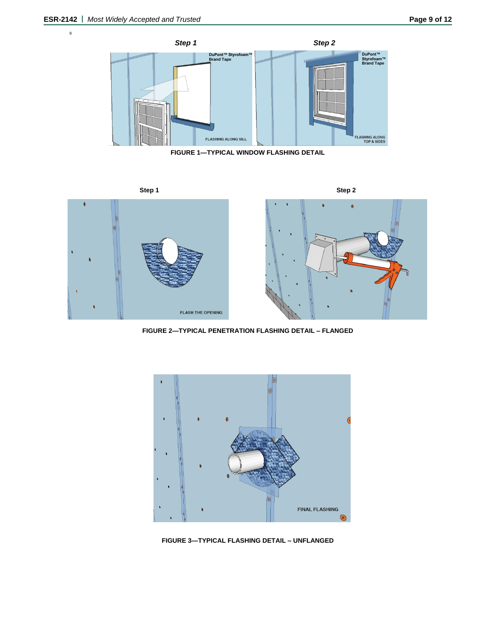9



**FIGURE 1—TYPICAL WINDOW FLASHING DETAIL**



**FIGURE 2—TYPICAL PENETRATION FLASHING DETAIL – FLANGED**



**FIGURE 3—TYPICAL FLASHING DETAIL – UNFLANGED**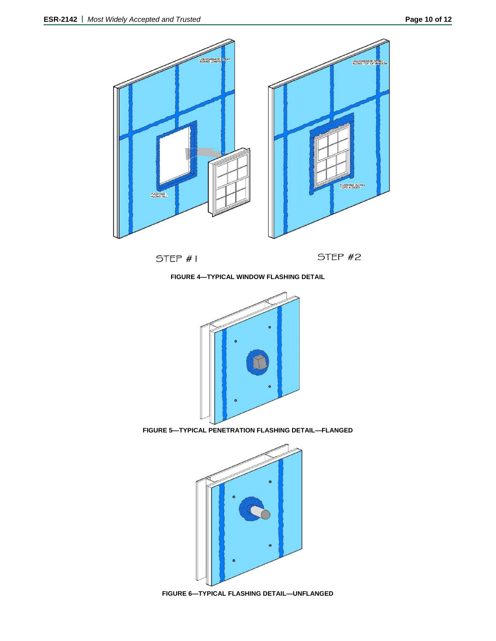

**FIGURE 4—TYPICAL WINDOW FLASHING DETAIL**



**FIGURE 5—TYPICAL PENETRATION FLASHING DETAIL—FLANGED**



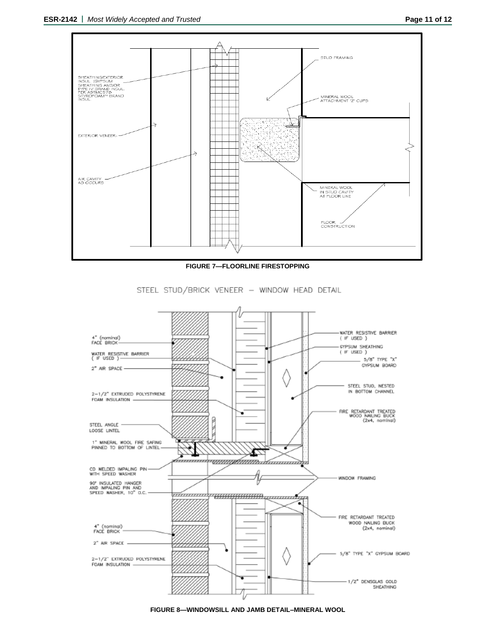

**FIGURE 7—FLOORLINE FIRESTOPPING**

STEEL STUD/BRICK VENEER - WINDOW HEAD DETAIL



**FIGURE 8—WINDOWSILL AND JAMB DETAIL–MINERAL WOOL**